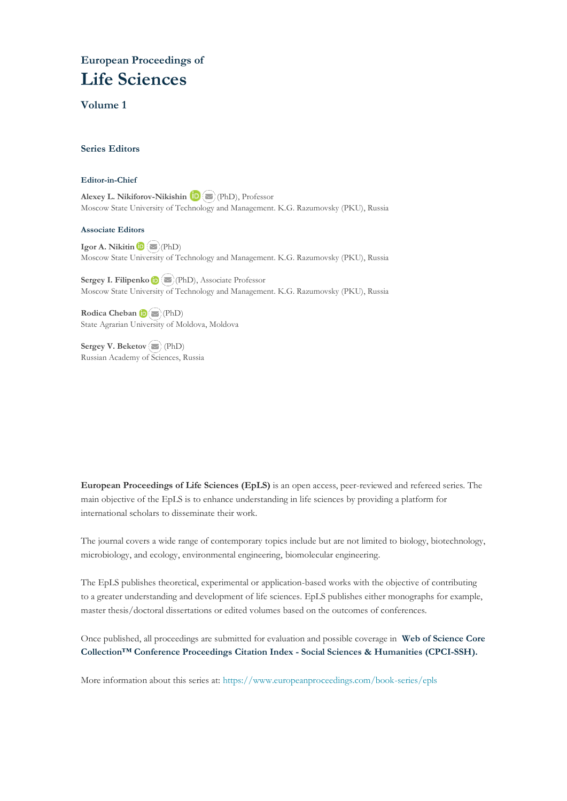# **European Proceedings of Life Sciences**

### **Volume 1**

#### **Series Editors**

#### **Editor-in-Chief**

**Alexey L. Nikiforov-Nikishin <b>D** (PhD), Professor Moscow State University of Technology and Management. K.G. Razumovsky (PKU), Russia

#### **Associate Editors**

**IgorA. Nikitin D E** (PhD) Moscow State University of Technology and Management. K.G. Razumovsky (PKU), Russia

**Sergey I. Filipenko**(PhD), Associate Professor Moscow State University of Technology and Management. K.G. Razumovsky (PKU), Russia

**Rodica Cheban**(PhD) State Agrarian Univ[ersity](mailto:amantha@usm.my) of Moldova, Moldova

**Sergey V. Bekеtov**(PhD) Russian Academy of Sciences, Russia

**European Proceedings of Life Sciences (EpLS)** is an open access, peer-reviewed and refereed series. The main objective of the EpLS is to enhance understanding in life sciences by providing a platform for international scholars to disseminate their work.

The journal covers a wide range of contemporary topics include but are not limited to biology, biotechnology, microbiology, and ecology, environmental engineering, biomolecular engineering.

The EpLS publishes theoretical, experimental or application-based works with the objective of contributing to a greater understanding and development of life sciences. EpLS publishes either monographs for example, master thesis/doctoral dissertations or edited volumes based on the outcomes of conferences.

Once published, all proceedings are submitted for evaluation and possible coverage in **Web of [Science](https://clarivate.com/webofsciencegroup/solutions/webofscience-cpci/) Core Collection™ Conference Proceedings Citation Index - Social Sciences & Humanities [\(CPCI-SSH\).](https://clarivate.com/webofsciencegroup/solutions/webofscience-cpci/)**

More information about this series at[: https://www.europeanproceedings.com/book-series/epls](https://www.europeanproceedings.com/book-series/epls)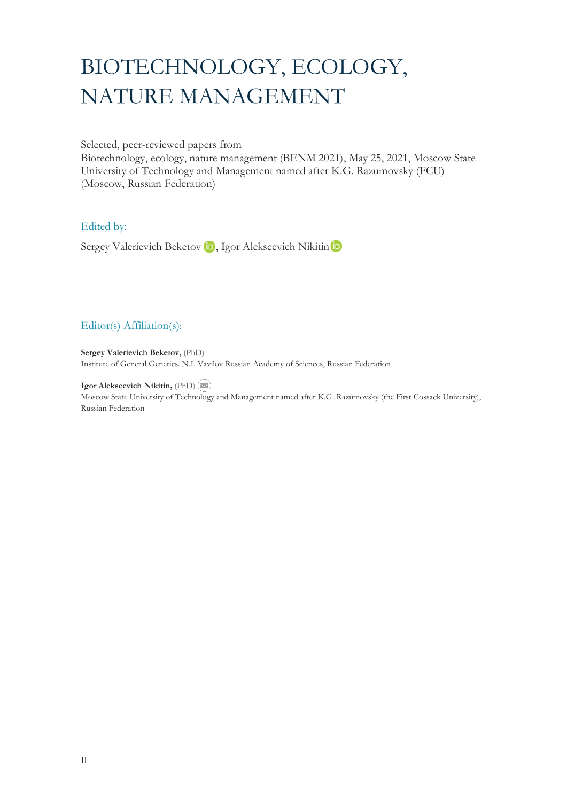# BIOTECHNOLOGY, ECOLOGY, NATURE MANAGEMENT

Selected, peer-reviewed papers from

Biotechnology, ecology, nature management (BENM 2021), May 25, 2021, Moscow State University of Technology and Management named after K.G. Razumovsky (FCU) (Moscow, Russian Federation)

## Edited by:

SergeyValerievich Beketov **D**, Igor Alekseevich Nikitin **D** 

# Editor(s) Affiliation(s):

**Sergey Valerievich Beketov,** (PhD) Institute of General Genetics. N.I. Vavilov Russian Academy of Sciences, Russian Federation

**Igor Alekseevich Nikitin,** (PhD) Moscow State University of Technology and Management named after K.G. Razumovsky (the First Cossack University), Russian Federation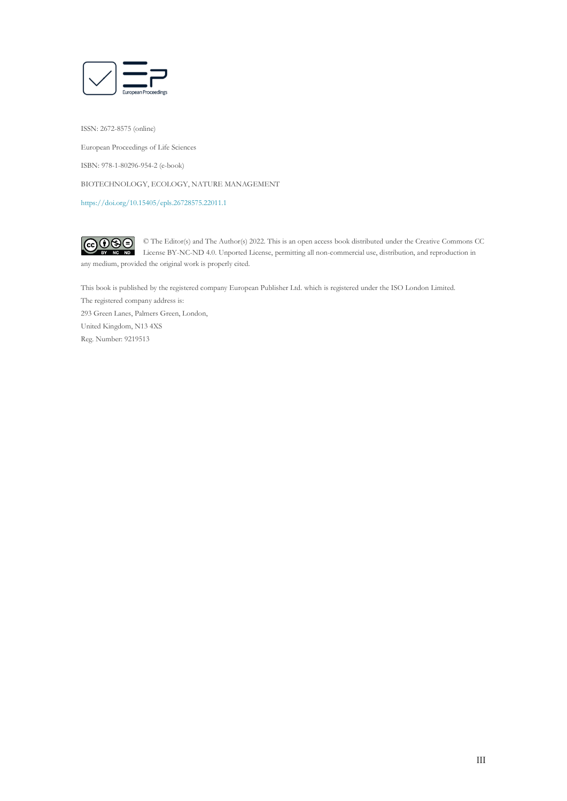

ISSN: 2672-8575 (online) European Proceedings of Life Sciences ISBN: 978-1-80296-954-2 (e-book) BIOTECHNOLOGY, ECOLOGY, NATURE MANAGEMENT <https://doi.org/10.15405/epls.26728575.22011.1>

 $\bigcirc \mathbf{0} \mathbf{0}$ © The Editor(s) and The Author(s) 2022. This is an open access book distributed under the Creative Commons CC  $ND$ License BY-NC-ND 4.0. Unported License, permitting all non-commercial use, distribution, and reproduction in any medium, provided the original work is properly cited.

This book is published by the registered company European Publisher Ltd. which is registered under the ISO London Limited. The registered company address is: 293 Green Lanes, Palmers Green, London, United Kingdom, N13 4XS Reg. Number: 9219513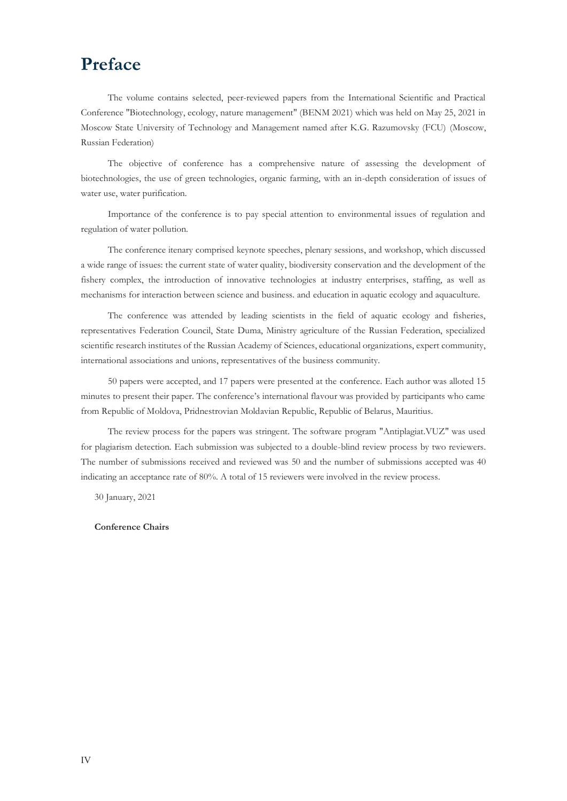# **Preface**

The volume contains selected, peer-reviewed papers from the International Scientific and Practical Conference "Biotechnology, ecology, nature management" (BENM 2021) which was held on May 25, 2021 in Moscow State University of Technology and Management named after K.G. Razumovsky (FCU) (Moscow, Russian Federation)

The objective of conference has a comprehensive nature of assessing the development of biotechnologies, the use of green technologies, organic farming, with an in-depth consideration of issues of water use, water purification.

Importance of the conference is to pay special attention to environmental issues of regulation and regulation of water pollution.

The conference itenary comprised keynote speeches, plenary sessions, and workshop, which discussed a wide range of issues: the current state of water quality, biodiversity conservation and the development of the fishery complex, the introduction of innovative technologies at industry enterprises, staffing, as well as mechanisms for interaction between science and business. and education in aquatic ecology and aquaculture.

The conference was attended by leading scientists in the field of aquatic ecology and fisheries, representatives Federation Council, State Duma, Ministry agriculture of the Russian Federation, specialized scientific research institutes of the Russian Academy of Sciences, educational organizations, expert community, international associations and unions, representatives of the business community.

50 papers were accepted, and 17 papers were presented at the conference. Each author was alloted 15 minutes to present their paper. The conference's international flavour was provided by participants who came from Republic of Moldova, Pridnestrovian Moldavian Republic, Republic of Belarus, Mauritius.

The review process for the papers was stringent. The software program "Antiplagiat.VUZ" was used for plagiarism detection. Each submission was subjected to a double-blind review process by two reviewers. The number of submissions received and reviewed was 50 and the number of submissions accepted was 40 indicating an acceptance rate of 80%. A total of 15 reviewers were involved in the review process.

30 January, 2021

#### **Conference Chairs**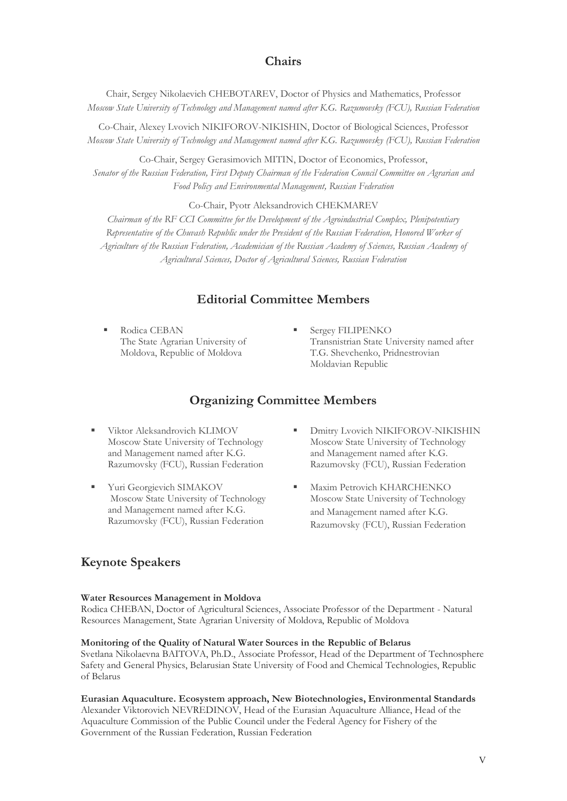# **Chairs**

Chair, Sergey Nikolaevich CHEBOTAREV, Doctor of Physics and Mathematics, Professor *Moscow State University of Technology and Management named after K.G. Razumovsky (FCU), Russian Federation*

Co-Chair, Alexey Lvovich NIKIFOROV-NIKISHIN, Doctor of Biological Sciences, Professor *Moscow State University of Technology and Management named after K.G. Razumovsky (FCU), Russian Federation*

Co-Chair, Sergey Gerasimovich MITIN, Doctor of Economics, Professor, *Senator of the Russian Federation, First Deputy Chairman of the Federation Council Committee on Agrarian and Food Policy and Environmental Management, Russian Federation*

Co-Chair, Pyotr Aleksandrovich CHEKMAREV

*Chairman of the RF CCI Committee for the Development of the Agroindustrial Complex, Plenipotentiary Representative of the Chuvash Republic under the President of the Russian Federation, Honored Worker of Agriculture of the Russian Federation, Academician of the Russian Academy of Sciences, Russian Academy of Agricultural Sciences, Doctor of Agricultural Sciences, Russian Federation*

# **Editorial Committee Members**

- Rodica CEBAN The State Agrarian University of Moldova, Republic of Moldova
- Sergey FILIPENKO Transnistrian State University named after T.G. Shevchenko, Pridnestrovian Moldavian Republic

# **Organizing Committee Members**

- Viktor Aleksandrovich KLIMOV Moscow State University of Technology and Management named after K.G. Razumovsky (FCU), Russian Federation
- **THE Yuri Georgievich SIMAKOV** Moscow State University of Technology and Management named after K.G. Razumovsky (FCU), Russian Federation
- Dmitry Lvovich NIKIFOROV-NIKISHIN Moscow State University of Technology and Management named after K.G. Razumovsky (FCU), Russian Federation
- Maxim Petrovich KHARCHENKO Moscow State University of Technology and Management named after K.G. Razumovsky (FCU), Russian Federation

# **Keynote Speakers**

#### **Water Resources Management in Moldova**

Rodica CHEBAN, Doctor of Agricultural Sciences, Associate Professor of the Department - Natural Resources Management, State Agrarian University of Moldova, Republic of Moldova

#### **Monitoring of the Quality of Natural Water Sources in the Republic of Belarus**

Svetlana Nikolaevna BAITOVA, Ph.D., Associate Professor, Head of the Department of Technosphere Safety and General Physics, Belarusian State University of Food and Chemical Technologies, Republic of Belarus

### **Eurasian Aquaculture. Ecosystem approach, New Biotechnologies, Environmental Standards**

Alexander Viktorovich NEVREDINOV, Head of the Eurasian Aquaculture Alliance, Head of the Aquaculture Commission of the Public Council under the Federal Agency for Fishery of the Government of the Russian Federation, Russian Federation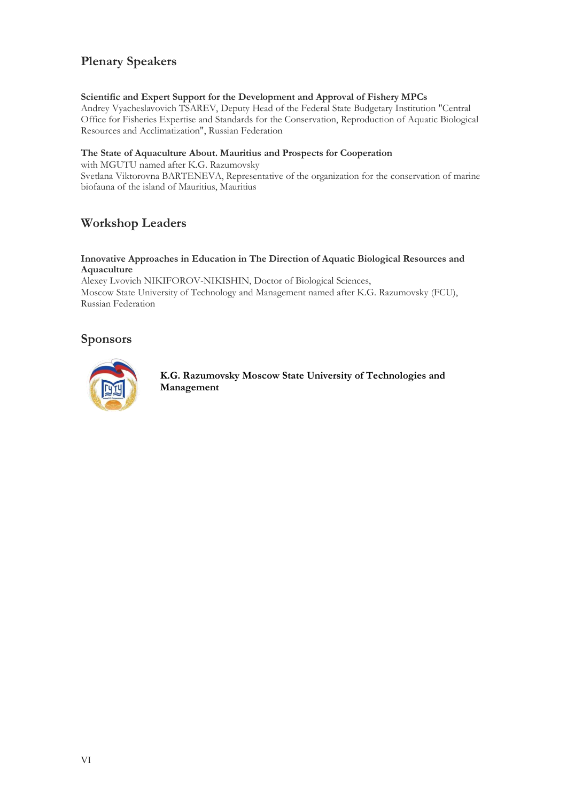# **Plenary Speakers**

### **Scientific and Expert Support for the Development and Approval of Fishery MPCs**

Andrey Vyacheslavovich TSAREV, Deputy Head of the Federal State Budgetary Institution "Central Office for Fisheries Expertise and Standards for the Conservation, Reproduction of Aquatic Biological Resources and Acclimatization", Russian Federation

#### **The State of Aquaculture About. Mauritius and Prospects for Cooperation**

with MGUTU named after K.G. Razumovsky

Svetlana Viktorovna BARTENEVA, Representative of the organization for the conservation of marine biofauna of the island of Mauritius, Mauritius

# **Workshop Leaders**

#### **Innovative Approaches in Education in The Direction of Aquatic Biological Resources and Aquaculture**

Alexey Lvovich NIKIFOROV-NIKISHIN, Doctor of Biological Sciences, Moscow State University of Technology and Management named after K.G. Razumovsky (FCU), Russian Federation

# **Sponsors**



**K.G. Razumovsky Moscow State University of Technologies and Management**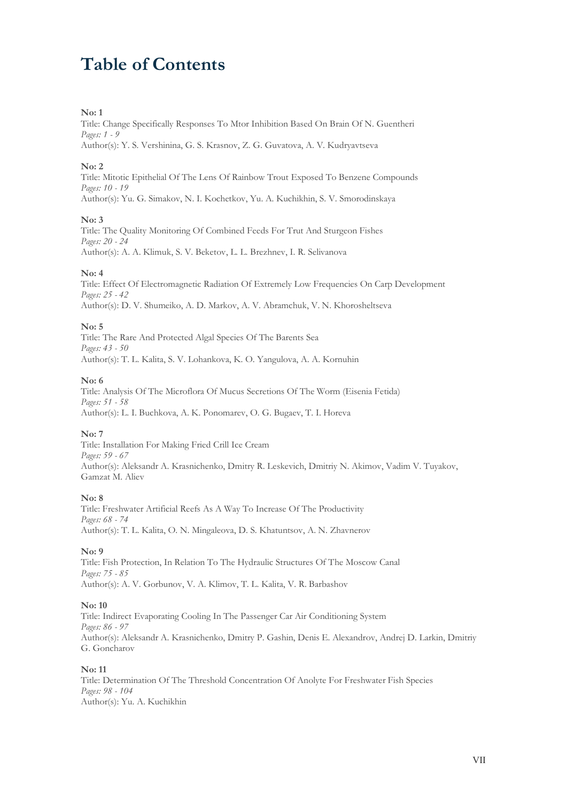# **Table of Contents**

#### **No: 1**

Title: Change Specifically Responses To Mtor Inhibition Based On Brain Of N. Guentheri *Pages: 1 - 9* Author(s): Y. S. Vershinina, G. S. Krasnov, Z. G. Guvatova, A. V. Kudryavtseva

#### **No: 2**

Title: Mitotic Epithelial Of The Lens Of Rainbow Trout Exposed To Benzene Compounds *Pages: 10 - 19* Author(s): Yu. G. Simakov, N. I. Kochetkov, Yu. A. Kuchikhin, S. V. Smorodinskaya

#### **No: 3**

Title: The Quality Monitoring Of Combined Feeds For Trut And Sturgeon Fishes *Pages: 20 - 24* Author(s): A. A. Klimuk, S. V. Beketov, L. L. Brezhnev, I. R. Selivanova

#### **No: 4**

Title: Effect Of Electromagnetic Radiation Of Extremely Low Frequencies On Carp Development *Pages: 25 - 42* Author(s): D. V. Shumeiko, A. D. Markov, A. V. Abramchuk, V. N. Khorosheltseva

#### **No: 5**

Title: The Rare And Protected Algal Species Of The Barents Sea *Pages: 43 - 50* Author(s): T. L. Kalita, S. V. Lohankova, K. O. Yangulova, A. A. Kornuhin

#### **No: 6**

Title: Analysis Of The Microflora Of Mucus Secretions Of The Worm (Eisenia Fetida) *Pages: 51 - 58* Author(s): L. I. Buchkova, A. K. Ponomarev, O. G. Bugaev, T. I. Horeva

#### **No: 7**

Title: Installation For Making Fried Crill Ice Cream *Pages: 59 - 67* Author(s): Aleksandr A. Krasnichenko, Dmitry R. Leskevich, Dmitriy N. Akimov, Vadim V. Tuyakov, Gamzat M. Aliev

#### **No: 8**

Title: Freshwater Artificial Reefs As A Way To Increase Of The Productivity *Pages: 68 - 74* Author(s): T. L. Kalita, O. N. Mingaleova, D. S. Khatuntsov, A. N. Zhavnerov

#### **No: 9**

Title: Fish Protection, In Relation To The Hydraulic Structures Of The Moscow Canal *Pages: 75 - 85* Author(s): A. V. Gorbunov, V. A. Klimov, T. L. Kalita, V. R. Barbashov

#### **No: 10**

Title: Indirect Evaporating Cooling In The Passenger Car Air Conditioning System *Pages: 86 - 97* Author(s): Aleksandr A. Krasnichenko, Dmitry P. Gashin, Denis E. Alexandrov, Andrej D. Larkin, Dmitriy G. Goncharov

#### **No: 11**

Title: Determination Of The Threshold Concentration Of Anolyte For Freshwater Fish Species *Pages: 98 - 104* Author(s): Yu. A. Kuchikhin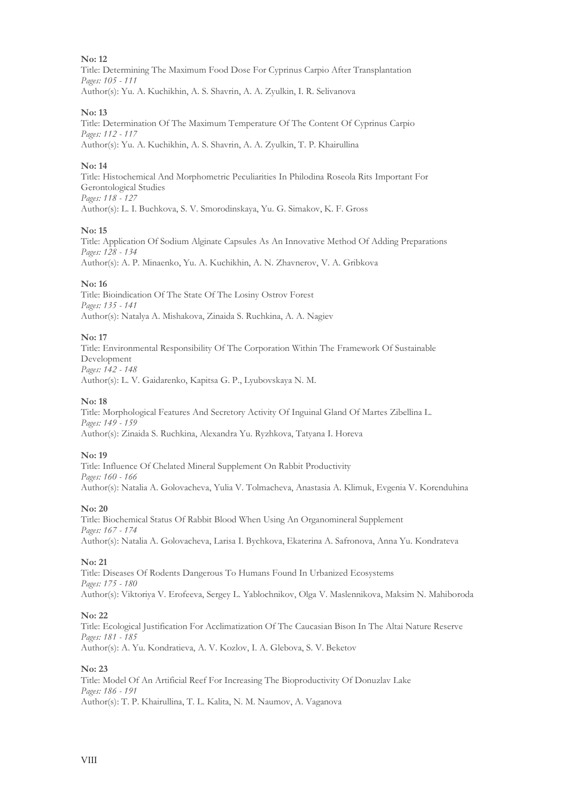#### **No: 12**

Title: Determining The Maximum Food Dose For Cyprinus Carpio After Transplantation *Pages: 105 - 111* Author(s): Yu. A. Kuchikhin, A. S. Shavrin, A. A. Zyulkin, I. R. Selivanova

#### **No: 13**

Title: Determination Of The Maximum Temperature Of The Content Of Cyprinus Carpio *Pages: 112 - 117* Author(s): Yu. A. Kuchikhin, A. S. Shavrin, A. A. Zyulkin, T. P. Khairullina

#### **No: 14**

Title: Histochemical And Morphometric Peculiarities In Philodina Roseola Rits Important For Gerontological Studies *Pages: 118 - 127* Author(s): L. I. Buchkova, S. V. Smorodinskaya, Yu. G. Simakov, K. F. Gross

#### **No: 15**

Title: Application Of Sodium Alginate Capsules As An Innovative Method Of Adding Preparations *Pages: 128 - 134* Author(s): A. P. Minaenko, Yu. A. Kuchikhin, A. N. Zhavnerov, V. A. Gribkova

#### **No: 16**

Title: Bioindication Of The State Of The Losiny Ostrov Forest *Pages: 135 - 141* Author(s): Natalya A. Mishakova, Zinaida S. Ruchkina, A. A. Nagiev

#### **No: 17**

Title: Environmental Responsibility Of The Corporation Within The Framework Of Sustainable Development *Pages: 142 - 148* Author(s): L. V. Gaidarenko, Kapitsa G. P., Lyubovskaya N. M.

#### **No: 18**

Title: Morphological Features And Secretory Activity Of Inguinal Gland Of Martes Zibellina L. *Pages: 149 - 159* Author(s): Zinaida S. Ruchkina, Alexandra Yu. Ryzhkova, Tatyana I. Horeva

#### **No: 19**

Title: Influence Of Chelated Mineral Supplement On Rabbit Productivity *Pages: 160 - 166* Author(s): Natalia A. Golovacheva, Yulia V. Tolmacheva, Anastasia A. Klimuk, Evgenia V. Korenduhina

#### **No: 20**

Title: Biochemical Status Of Rabbit Blood When Using An Organomineral Supplement *Pages: 167 - 174* Author(s): Natalia A. Golovacheva, Larisa I. Bychkova, Ekaterina A. Safronova, Anna Yu. Kondrateva

#### **No: 21**

Title: Diseases Of Rodents Dangerous To Humans Found In Urbanized Ecosystems *Pages: 175 - 180* Author(s): Viktoriya V. Erofeeva, Sergey L. Yablochnikov, Olga V. Maslennikova, Maksim N. Mahiboroda

#### **No: 22**

Title: Ecological Justification For Acclimatization Of The Caucasian Bison In The Altai Nature Reserve *Pages: 181 - 185* Author(s): A. Yu. Kondratieva, A. V. Kozlov, I. A. Glebova, S. V. Beketov

#### **No: 23**

Title: Model Of An Artificial Reef For Increasing The Bioproductivity Of Donuzlav Lake *Pages: 186 - 191* Author(s): T. P. Khairullina, T. L. Kalita, N. M. Naumov, A. Vaganova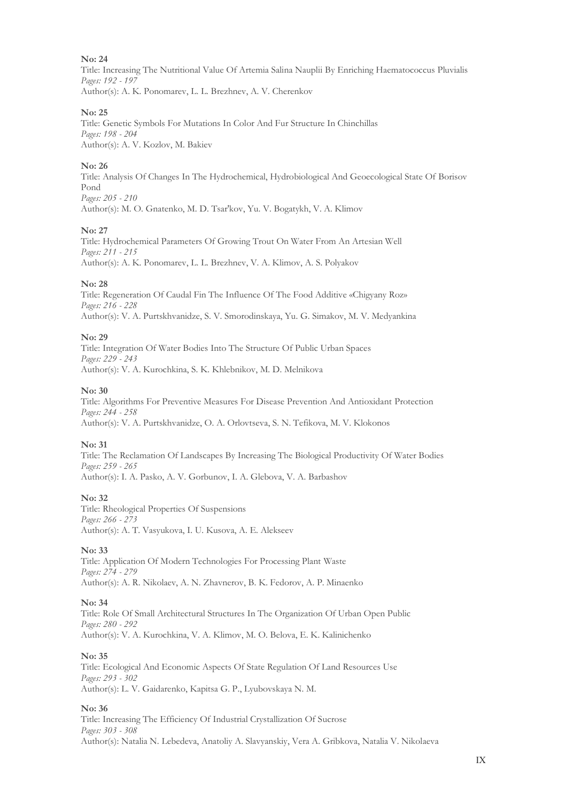#### **No: 24**

Title: Increasing The Nutritional Value Of Artemia Salina Nauplii By Enriching Haematococcus Pluvialis *Pages: 192 - 197* Author(s): A. K. Ponomarev, L. L. Brezhnev, A. V. Cherenkov

**No: 25**

Title: Genetic Symbols For Mutations In Color And Fur Structure In Chinchillas *Pages: 198 - 204* Author(s): A. V. Kozlov, M. Bakiev

#### **No: 26**

Title: Analysis Of Changes In The Hydrochemical, Hydrobiological And Geoecological State Of Borisov Pond *Pages: 205 - 210*

Author(s): M. O. Gnatenko, M. D. Tsar'kov, Yu. V. Bogatykh, V. A. Klimov

#### **No: 27**

Title: Hydrochemical Parameters Of Growing Trout On Water From An Artesian Well *Pages: 211 - 215* Author(s): A. K. Ponomarev, L. L. Brezhnev, V. A. Klimov, A. S. Polyakov

#### **No: 28**

Title: Regeneration Of Caudal Fin The Influence Of The Food Additive «Chigyany Roz» *Pages: 216 - 228* Author(s): V. A. Purtskhvanidze, S. V. Smorodinskaya, Yu. G. Simakov, M. V. Medyankina

#### **No: 29**

Title: Integration Of Water Bodies Into The Structure Of Public Urban Spaces *Pages: 229 - 243* Author(s): V. A. Kurochkina, S. K. Khlebnikov, M. D. Melnikova

#### **No: 30**

Title: Algorithms For Preventive Measures For Disease Prevention And Antioxidant Protection *Pages: 244 - 258* Author(s): V. A. Purtskhvanidze, O. A. Orlovtseva, S. N. Tefikova, M. V. Klokonos

#### **No: 31**

Title: The Reclamation Of Landscapes By Increasing The Biological Productivity Of Water Bodies *Pages: 259 - 265* Author(s): I. A. Pasko, A. V. Gorbunov, I. A. Glebova, V. A. Barbashov

#### **No: 32**

Title: Rheological Properties Of Suspensions *Pages: 266 - 273* Author(s): A. T. Vasyukova, I. U. Kusova, A. E. Alekseev

**No: 33**

Title: Application Of Modern Technologies For Processing Plant Waste *Pages: 274 - 279* Author(s): A. R. Nikolaev, A. N. Zhavnerov, B. K. Fedorov, A. P. Minaenko

#### **No: 34**

Title: Role Of Small Architectural Structures In The Organization Of Urban Open Public *Pages: 280 - 292* Author(s): V. A. Kurochkina, V. A. Klimov, M. O. Belova, E. K. Kalinichenko

#### **No: 35**

Title: Ecological And Economic Aspects Of State Regulation Of Land Resources Use *Pages: 293 - 302* Author(s): L. V. Gaidarenko, Kapitsa G. P., Lyubovskaya N. M.

#### **No: 36**

Title: Increasing The Efficiency Of Industrial Crystallization Of Sucrose *Pages: 303 - 308* Author(s): Natalia N. Lebedeva, Anatoliy A. Slavyanskiy, Vera A. Gribkova, Natalia V. Nikolaeva